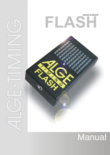



# Manual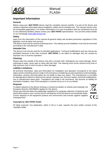



#### **Important Information**

#### **General**

Before using your ALGE-TIMING device read the complete manual carefully. It is part of the device and contains important information about installation, safety and its intended use. This manual cannot cover all conceivable applications. For further information or in case of problems that are mentioned not at all or not sufficiently detailed, please contact your ALGE-TIMING representative. You can find contact details on our homepage [www.alge-timing.com](http://www.alge-timing.com/)

#### **Safety**

Apart from the information of this manual all general safety and accident prevention regulations of the legislator must be taken into account.

The device must only be used by trained persons. The setting-up and installation must only be executed according to the manufacturer's data.

#### **Intended Use**

The device must only be used for its intended applications. Technical modifications and any misuse are prohibited because of the risks involved! ALGE-TIMING is not liable for damages that are caused by improper use or incorrect operation.

#### **Cleaning**

Please clean the outside of the device only with a smooth cloth. Detergents can cause damage. Never submerge in water, never open or clean with wet cloth. The cleaning must not be carried out by hose or high-pressure (risk of short circuits or other damage).

#### **Liability Limitations**

All technical information, data and information for installation and operation correspond to the latest status at time of printing and are made in all conscience considering our past experience and knowledge. Information, pictures and description do not entitle to base any claims. The manufacturer is not liable for damage due to failure to observe the manual, improper use, incorrect repairs, technical modifications, use of unauthorized spare parts. Translations are made in all conscience. We assume no liability for translation mistakes, even if the translation is carried out by us or on our behalf.

#### **Disposal**

If a label is placed on the device showing a crossed out dustbin on wheels (see drawing), the European directive 2002/96/EG applies for this device.

Please get informed about the applicable regulations for separate collection of electrical and electronical waste in your country and do not dispose of the old devices as household waste. Correct disposal of old equipment protects the environment and humans against negative consequences!

#### **Copyright by** ALGE-TIMING **GmbH**

All rights reserved. Any duplication, either in full or in part, requires the prior written consent of the copyright holder.

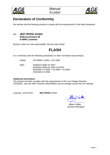



## **Declaration of Conformity**

We declare that the following products comply with the requirements of the listed standards.

#### We, ALGE-TIMING **GmbH Rotkreuzstrasse 39 A-6890 Lustenau**

Declare under our sole responsibility, that the start strobe

## **FLASH**

is in conformity with the following standard(s) or other normative documents(s):

Safety: EN 60950-1:2006 + A11:2009

EMC: EN55022:2006+A1:2007 EN55024:1998+A1:2001+A2:2003 EN61000 3-2:2006 + A1:2009 + A2:2009 EN61000 3-3:2008

#### **Additional Information:**

The product herewith complies with the requirements of the Low Voltage Directive 73/23/EEC, also the EMC Directive 2004/108EG and accordingly carries the CE-marking.

Lustenau, 10.02.2010 ALGE-TIMING GmbH

Albert Vetter

 Albert Vetter (General Manager)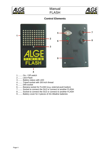



## **Control Elements**



- ........ On- / Off switch
- ........ LED-Flash
- ........ Battery status with LED
- ........ Tripod socket with 3/8 Inch thread
- ........ DIN-socket
- ........ Banana socket for FLASH (e.g. external push button)
- ........ Socket to connect the SU2 or connect to another FLASH
- ........ Socket to connect the SU2 or connect to another FLASH
- ........ Battery cover for 4 pieces of AA-Alkaline batteries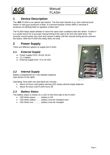



## **1 Device Description**

The **ALGE** FLASH is an optical start device. The first start impulse (e.g. from external push button or start gun) produces a flash. If a second impulse comes within 5 seconds it produces an blinking flash to signalize a false start.

The FLASH helps depth athletes to have the same start conditions than the others. Further it is a useful tool to for a accurate manual timing if the start is far from the hand timer. The acoustic sound travels very slow and causes a delay until the manual timing person presses the button. With the FLASH this delay does not exist.

## **2 Power Supply**

There are different options to supply the FLASH.

#### *2.1 External Supply*

- **POWER SUPPLY PS12, NLG8, NLG4**
- $I\otimes I2$  V battery
- a External supply from +4 to 18 VDC

## *2.2 Internal Supply*

Battery compartment for 4 AA-Alkaline batteries (see picture to the right).

Operating Time (with one start-flash per minute):

- About 24 hours until yellow warning LED shows almost empty batteries.
- About 30 hours until FLASH turns off.

#### *2.3 Battery Status*

The battery status is shown on a LED on the front side of the FLASH:

- LED blinks green ......... battery is OK
- LED blinks yellow......... battery must be changed soon
- LED blinks red ............. battery must be changed

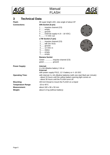



## **3 Technical Data**

| Flash:                    | 80 super bright LED, view angle of about 25°                                                                                                                                                 |  |  |  |  |
|---------------------------|----------------------------------------------------------------------------------------------------------------------------------------------------------------------------------------------|--|--|--|--|
| <b>Connections:</b>       | DIN-Socket (5-pin)                                                                                                                                                                           |  |  |  |  |
|                           | 1  impulse channel (C0)<br>$2$ empty<br>$3 \dots$ ground<br>4  external supply in $(4 - 18$ VDC)<br>$5$ + 5 VDC out                                                                          |  |  |  |  |
|                           | <b>LTW Socket (7-pin)</b>                                                                                                                                                                    |  |  |  |  |
|                           | 1 impulse channel (C0)<br>2 talk (for SU2)<br>3 ground<br>4 12 VDC in<br>$5$ status<br>6 empty<br>7 empty                                                                                    |  |  |  |  |
|                           | <b>Banana Socket</b>                                                                                                                                                                         |  |  |  |  |
|                           | Green  impulse channel (C0)<br>green  ground                                                                                                                                                 |  |  |  |  |
| <b>Power Supply:</b>      | Internal:<br>4 x AA-Alkaline battery 2 Ah or<br><b>External:</b><br>with power supply PS12, 12 V battery or 4 -18 VDC                                                                        |  |  |  |  |
| <b>Operating Time:</b>    | with internal 4 x AA-Alkaline batteries (with one start-flash per minute):<br>- about 24 hours until the yellow battery warning light comes on<br>- about 30 hours until the FLASH turns off |  |  |  |  |
| <b>Mounting:</b>          | 3/8 Inch thread to mount the FLASH on a tripod                                                                                                                                               |  |  |  |  |
| <b>Temperature Range:</b> | $-20$ to $40^{\circ}$ C                                                                                                                                                                      |  |  |  |  |
| <b>Measurement:</b>       | about 160 x 96 x 50 mm                                                                                                                                                                       |  |  |  |  |
| Weight:                   | about 0,3 kg (without battery)                                                                                                                                                               |  |  |  |  |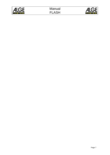|        | L |  |
|--------|---|--|
| ı<br>ı |   |  |